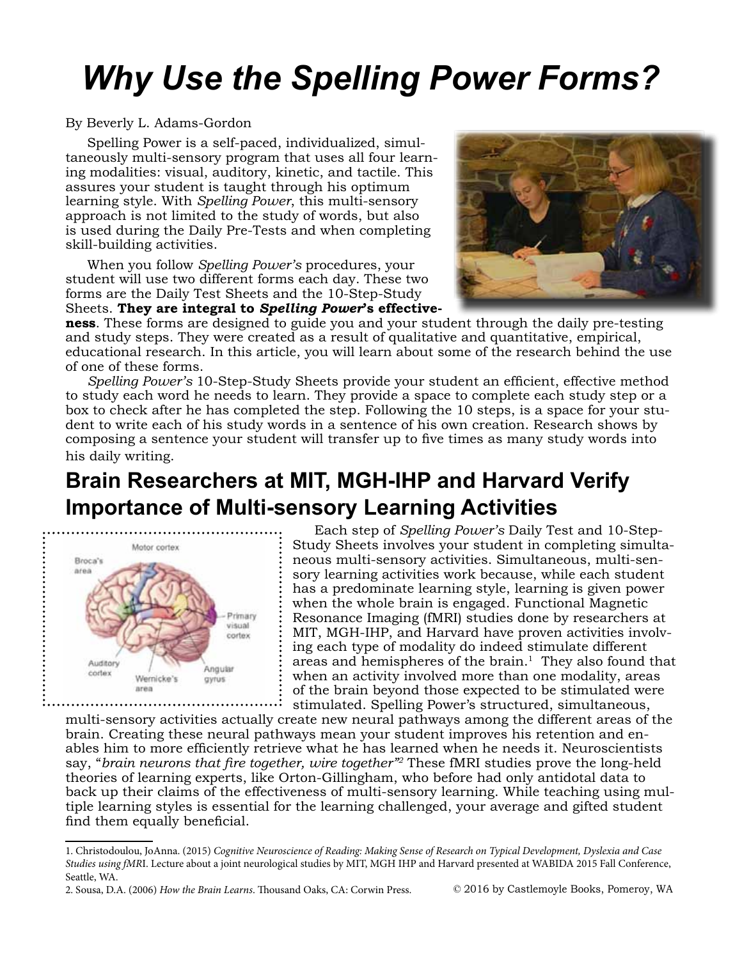## *Why Use the Spelling Power Forms?*

## By Beverly L. Adams-Gordon

Spelling Power is a self-paced, individualized, simultaneously multi-sensory program that uses all four learning modalities: visual, auditory, kinetic, and tactile. This assures your student is taught through his optimum learning style. With *Spelling Power*, this multi-sensory approach is not limited to the study of words, but also is used during the Daily Pre-Tests and when completing skill-building activities.

When you follow *Spelling Power's* procedures, your student will use two different forms each day. These two forms are the Daily Test Sheets and the 10-Step-Study Sheets. **They are integral to** *Spelling Power***'s effective-**



**ness**. These forms are designed to guide you and your student through the daily pre-testing and study steps. They were created as a result of qualitative and quantitative, empirical, educational research. In this article, you will learn about some of the research behind the use of one of these forms.

*Spelling Power's* 10-Step-Study Sheets provide your student an efficient, effective method to study each word he needs to learn. They provide a space to complete each study step or a box to check after he has completed the step. Following the 10 steps, is a space for your student to write each of his study words in a sentence of his own creation. Research shows by composing a sentence your student will transfer up to five times as many study words into his daily writing.

## **Brain Researchers at MIT, MGH-IHP and Harvard Verify Importance of Multi-sensory Learning Activities**



Each step of *Spelling Power's* Daily Test and 10-Step-Study Sheets involves your student in completing simultaneous multi-sensory activities. Simultaneous, multi-sensory learning activities work because, while each student has a predominate learning style, learning is given power when the whole brain is engaged. Functional Magnetic Resonance Imaging (fMRI) studies done by researchers at MIT, MGH-IHP, and Harvard have proven activities involving each type of modality do indeed stimulate different areas and hemispheres of the brain.<sup>1</sup> They also found that when an activity involved more than one modality, areas of the brain beyond those expected to be stimulated were stimulated. Spelling Power's structured, simultaneous,

multi-sensory activities actually create new neural pathways among the different areas of the brain. Creating these neural pathways mean your student improves his retention and enables him to more efficiently retrieve what he has learned when he needs it. Neuroscientists say, "*brain neurons that fire together, wire together"<sup>2</sup>* These fMRI studies prove the long-held theories of learning experts, like Orton-Gillingham, who before had only antidotal data to back up their claims of the effectiveness of multi-sensory learning. While teaching using multiple learning styles is essential for the learning challenged, your average and gifted student find them equally beneficial.

2. Sousa, D.A. (2006) *How the Brain Learns*. Thousand Oaks, CA: Corwin Press. © 2016 by Castlemoyle Books, Pomeroy, WA

<sup>1.</sup> Christodoulou, JoAnna. (2015) *Cognitive Neuroscience of Reading: Making Sense of Research on Typical Development, Dyslexia and Case Studies using fMR*I. Lecture about a joint neurological studies by MIT, MGH IHP and Harvard presented at WABIDA 2015 Fall Conference, Seattle, WA.